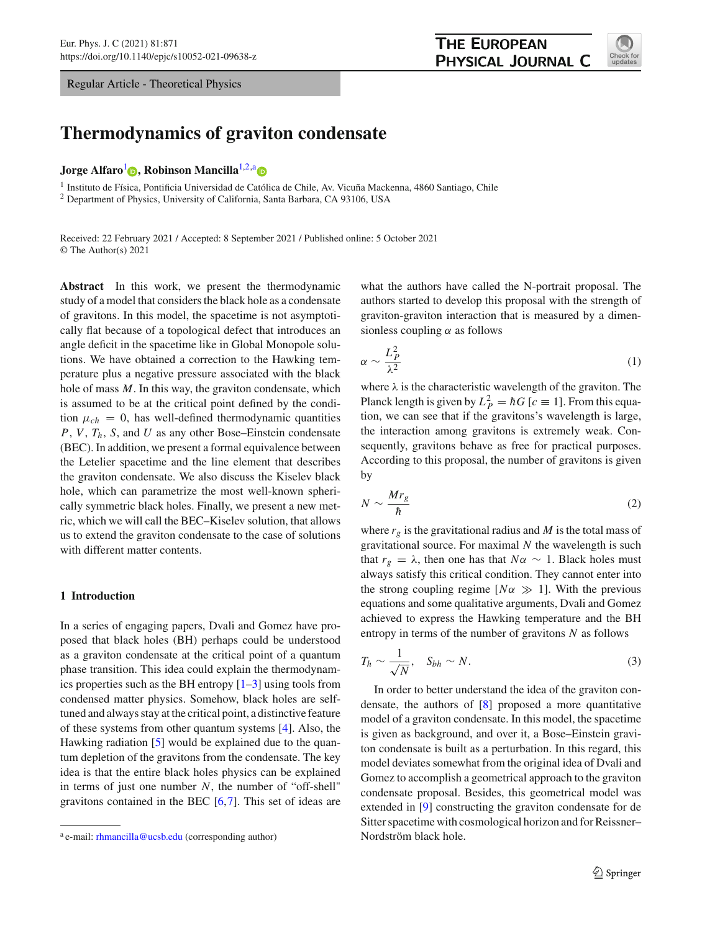Regular Article - Theoretical Physics

<span id="page-0-0"></span>

# **Thermodynamics of graviton condensate**

**Jorge Alfaro<sup>[1](#page-0-0)</sup> <b>D**[,](http://orcid.org/0000-0002-2091-1325) Robinson Mancilla<sup>[1,2,](#page-0-0)[a](http://orcid.org/0000-0001-5461-6431)</sup> **D** 

<sup>1</sup> Instituto de Física, Pontificia Universidad de Católica de Chile, Av. Vicuña Mackenna, 4860 Santiago, Chile

<sup>2</sup> Department of Physics, University of California, Santa Barbara, CA 93106, USA

Received: 22 February 2021 / Accepted: 8 September 2021 / Published online: 5 October 2021 © The Author(s) 2021

**Abstract** In this work, we present the thermodynamic study of a model that considers the black hole as a condensate of gravitons. In this model, the spacetime is not asymptotically flat because of a topological defect that introduces an angle deficit in the spacetime like in Global Monopole solutions. We have obtained a correction to the Hawking temperature plus a negative pressure associated with the black hole of mass *M*. In this way, the graviton condensate, which is assumed to be at the critical point defined by the condition  $\mu_{ch} = 0$ , has well-defined thermodynamic quantities *P*, *V*, *Th*, *S*, and *U* as any other Bose–Einstein condensate (BEC). In addition, we present a formal equivalence between the Letelier spacetime and the line element that describes the graviton condensate. We also discuss the Kiselev black hole, which can parametrize the most well-known spherically symmetric black holes. Finally, we present a new metric, which we will call the BEC–Kiselev solution, that allows us to extend the graviton condensate to the case of solutions with different matter contents.

## **1 Introduction**

In a series of engaging papers, Dvali and Gomez have proposed that black holes (BH) perhaps could be understood as a graviton condensate at the critical point of a quantum phase transition. This idea could explain the thermodynamics properties such as the BH entropy  $[1-3]$  $[1-3]$  using tools from condensed matter physics. Somehow, black holes are selftuned and always stay at the critical point, a distinctive feature of these systems from other quantum systems [\[4\]](#page-11-2). Also, the Hawking radiation [\[5\]](#page-11-3) would be explained due to the quantum depletion of the gravitons from the condensate. The key idea is that the entire black holes physics can be explained in terms of just one number *N*, the number of "off-shell" gravitons contained in the BEC [\[6](#page-11-4)[,7](#page-11-5)]. This set of ideas are

what the authors have called the N-portrait proposal. The authors started to develop this proposal with the strength of graviton-graviton interaction that is measured by a dimensionless coupling  $\alpha$  as follows

$$
\alpha \sim \frac{L_P^2}{\lambda^2} \tag{1}
$$

where  $\lambda$  is the characteristic wavelength of the graviton. The Planck length is given by  $L_P^2 = \hbar G$  [ $c \equiv 1$ ]. From this equation, we can see that if the gravitons's wavelength is large, the interaction among gravitons is extremely weak. Consequently, gravitons behave as free for practical purposes. According to this proposal, the number of gravitons is given by

$$
N \sim \frac{Mr_g}{\hbar} \tag{2}
$$

where  $r_g$  is the gravitational radius and  $M$  is the total mass of gravitational source. For maximal *N* the wavelength is such that  $r_g = \lambda$ , then one has that  $N\alpha \sim 1$ . Black holes must always satisfy this critical condition. They cannot enter into the strong coupling regime  $[N\alpha \gg 1]$ . With the previous equations and some qualitative arguments, Dvali and Gomez achieved to express the Hawking temperature and the BH entropy in terms of the number of gravitons *N* as follows

$$
T_h \sim \frac{1}{\sqrt{N}}, \quad S_{bh} \sim N. \tag{3}
$$

In order to better understand the idea of the graviton condensate, the authors of [\[8\]](#page-11-6) proposed a more quantitative model of a graviton condensate. In this model, the spacetime is given as background, and over it, a Bose–Einstein graviton condensate is built as a perturbation. In this regard, this model deviates somewhat from the original idea of Dvali and Gomez to accomplish a geometrical approach to the graviton condensate proposal. Besides, this geometrical model was extended in [\[9\]](#page-11-7) constructing the graviton condensate for de Sitter spacetime with cosmological horizon and for Reissner– Nordström black hole.

<sup>&</sup>lt;sup>a</sup> e-mail: [rhmancilla@ucsb.edu](mailto:rhmancilla@ucsb.edu) (corresponding author)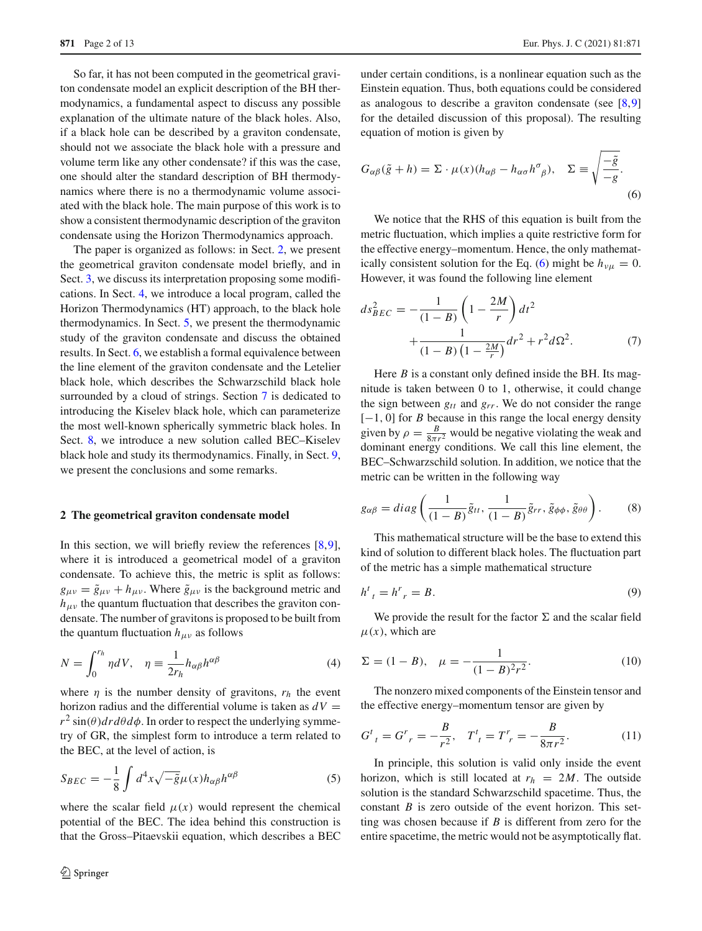So far, it has not been computed in the geometrical graviton condensate model an explicit description of the BH thermodynamics, a fundamental aspect to discuss any possible explanation of the ultimate nature of the black holes. Also, if a black hole can be described by a graviton condensate, should not we associate the black hole with a pressure and volume term like any other condensate? if this was the case, one should alter the standard description of BH thermodynamics where there is no a thermodynamic volume associated with the black hole. The main purpose of this work is to show a consistent thermodynamic description of the graviton condensate using the Horizon Thermodynamics approach.

The paper is organized as follows: in Sect. [2,](#page-1-0) we present the geometrical graviton condensate model briefly, and in Sect. [3,](#page-2-0) we discuss its interpretation proposing some modifications. In Sect. [4,](#page-3-0) we introduce a local program, called the Horizon Thermodynamics (HT) approach, to the black hole thermodynamics. In Sect. [5,](#page-3-1) we present the thermodynamic study of the graviton condensate and discuss the obtained results. In Sect. [6,](#page-5-0) we establish a formal equivalence between the line element of the graviton condensate and the Letelier black hole, which describes the Schwarzschild black hole surrounded by a cloud of strings. Section [7](#page-6-0) is dedicated to introducing the Kiselev black hole, which can parameterize the most well-known spherically symmetric black holes. In Sect. [8,](#page-6-1) we introduce a new solution called BEC–Kiselev black hole and study its thermodynamics. Finally, in Sect. [9,](#page-8-0) we present the conclusions and some remarks.

## <span id="page-1-0"></span>**2 The geometrical graviton condensate model**

In this section, we will briefly review the references  $[8,9]$  $[8,9]$  $[8,9]$ , where it is introduced a geometrical model of a graviton condensate. To achieve this, the metric is split as follows:  $g_{\mu\nu} = \tilde{g}_{\mu\nu} + h_{\mu\nu}$ . Where  $\tilde{g}_{\mu\nu}$  is the background metric and  $h_{\mu\nu}$  the quantum fluctuation that describes the graviton condensate. The number of gravitons is proposed to be built from the quantum fluctuation  $h_{\mu\nu}$  as follows

<span id="page-1-2"></span>
$$
N = \int_0^{r_h} \eta dV, \quad \eta \equiv \frac{1}{2r_h} h_{\alpha\beta} h^{\alpha\beta} \tag{4}
$$

where  $\eta$  is the number density of gravitons,  $r_h$  the event horizon radius and the differential volume is taken as  $dV =$  $r^2 \sin(\theta) dr d\theta d\phi$ . In order to respect the underlying symmetry of GR, the simplest form to introduce a term related to the BEC, at the level of action, is

<span id="page-1-6"></span>
$$
S_{BEC} = -\frac{1}{8} \int d^4x \sqrt{-\tilde{g}} \mu(x) h_{\alpha\beta} h^{\alpha\beta} \tag{5}
$$

where the scalar field  $\mu(x)$  would represent the chemical potential of the BEC. The idea behind this construction is that the Gross–Pitaevskii equation, which describes a BEC under certain conditions, is a nonlinear equation such as the Einstein equation. Thus, both equations could be considered as analogous to describe a graviton condensate (see [\[8,](#page-11-6)[9\]](#page-11-7) for the detailed discussion of this proposal). The resulting equation of motion is given by

<span id="page-1-1"></span>
$$
G_{\alpha\beta}(\tilde{g} + h) = \Sigma \cdot \mu(x)(h_{\alpha\beta} - h_{\alpha\sigma}h^{\sigma}_{\beta}), \quad \Sigma \equiv \sqrt{\frac{-\tilde{g}}{-g}}.
$$
\n(6)

We notice that the RHS of this equation is built from the metric fluctuation, which implies a quite restrictive form for the effective energy–momentum. Hence, the only mathemat-ically consistent solution for the Eq. [\(6\)](#page-1-1) might be  $h_{\nu\mu} = 0$ . However, it was found the following line element

<span id="page-1-3"></span>
$$
ds_{BEC}^2 = -\frac{1}{(1-B)} \left( 1 - \frac{2M}{r} \right) dt^2 + \frac{1}{(1-B) \left( 1 - \frac{2M}{r} \right)} dr^2 + r^2 d\Omega^2.
$$
 (7)

Here *B* is a constant only defined inside the BH. Its magnitude is taken between 0 to 1, otherwise, it could change the sign between  $g_{tt}$  and  $g_{rr}$ . We do not consider the range [−1, 0] for *B* because in this range the local energy density given by  $\rho = \frac{B}{8\pi r^2}$  would be negative violating the weak and dominant energy conditions. We call this line element, the BEC–Schwarzschild solution. In addition, we notice that the metric can be written in the following way

$$
g_{\alpha\beta} = diag\left(\frac{1}{(1-B)}\tilde{g}_{tt}, \frac{1}{(1-B)}\tilde{g}_{rr}, \tilde{g}_{\phi\phi}, \tilde{g}_{\theta\theta}\right).
$$
 (8)

This mathematical structure will be the base to extend this kind of solution to different black holes. The fluctuation part of the metric has a simple mathematical structure

$$
h^t{}_t = h^r{}_r = B. \tag{9}
$$

We provide the result for the factor  $\Sigma$  and the scalar field  $\mu(x)$ , which are

<span id="page-1-4"></span>
$$
\Sigma = (1 - B), \quad \mu = -\frac{1}{(1 - B)^2 r^2}.
$$
 (10)

The nonzero mixed components of the Einstein tensor and the effective energy–momentum tensor are given by

<span id="page-1-5"></span>
$$
G^{t}{}_{t} = G^{r}{}_{r} = -\frac{B}{r^{2}}, \quad T^{t}{}_{t} = T^{r}{}_{r} = -\frac{B}{8\pi r^{2}}.
$$
 (11)

In principle, this solution is valid only inside the event horizon, which is still located at  $r_h = 2M$ . The outside solution is the standard Schwarzschild spacetime. Thus, the constant *B* is zero outside of the event horizon. This setting was chosen because if *B* is different from zero for the entire spacetime, the metric would not be asymptotically flat.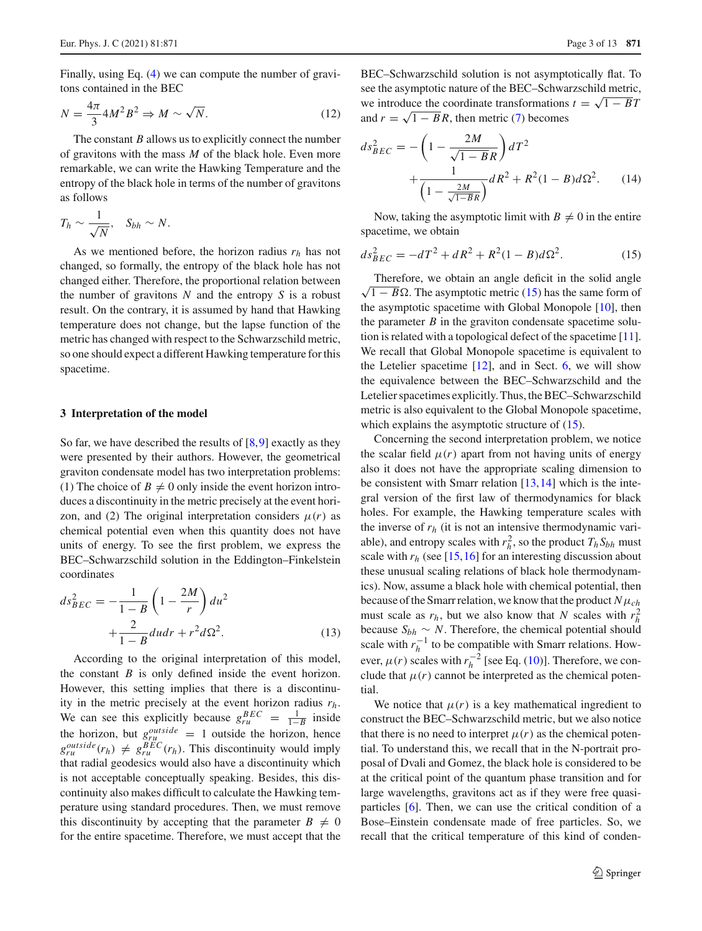Finally, using Eq. [\(4\)](#page-1-2) we can compute the number of gravitons contained in the BEC

<span id="page-2-2"></span>
$$
N = \frac{4\pi}{3} 4M^2 B^2 \Rightarrow M \sim \sqrt{N}.
$$
 (12)

The constant *B* allows us to explicitly connect the number of gravitons with the mass *M* of the black hole. Even more remarkable, we can write the Hawking Temperature and the entropy of the black hole in terms of the number of gravitons as follows

$$
T_h \sim \frac{1}{\sqrt{N}}, \quad S_{bh} \sim N.
$$

As we mentioned before, the horizon radius *rh* has not changed, so formally, the entropy of the black hole has not changed either. Therefore, the proportional relation between the number of gravitons *N* and the entropy *S* is a robust result. On the contrary, it is assumed by hand that Hawking temperature does not change, but the lapse function of the metric has changed with respect to the Schwarzschild metric, so one should expect a different Hawking temperature for this spacetime.

### <span id="page-2-0"></span>**3 Interpretation of the model**

So far, we have described the results of  $[8,9]$  $[8,9]$  exactly as they were presented by their authors. However, the geometrical graviton condensate model has two interpretation problems: (1) The choice of  $B \neq 0$  only inside the event horizon introduces a discontinuity in the metric precisely at the event horizon, and (2) The original interpretation considers  $\mu(r)$  as chemical potential even when this quantity does not have units of energy. To see the first problem, we express the BEC–Schwarzschild solution in the Eddington–Finkelstein coordinates

$$
ds_{BEC}^2 = -\frac{1}{1-B} \left( 1 - \frac{2M}{r} \right) du^2 + \frac{2}{1-B} du dr + r^2 d \Omega^2.
$$
 (13)

According to the original interpretation of this model, the constant *B* is only defined inside the event horizon. However, this setting implies that there is a discontinuity in the metric precisely at the event horizon radius *rh*. We can see this explicitly because  $g_{ru}^{BEC} = \frac{1}{1-B}$  inside the horizon, but  $g_{ru}^{outside} = 1$  outside the horizon, hence  $g_{ru}^{outside}(r_h) \neq g_{ru}^{BEC}(r_h)$ . This discontinuity would imply that radial geodesics would also have a discontinuity which is not acceptable conceptually speaking. Besides, this discontinuity also makes difficult to calculate the Hawking temperature using standard procedures. Then, we must remove this discontinuity by accepting that the parameter  $B \neq 0$ for the entire spacetime. Therefore, we must accept that the

BEC–Schwarzschild solution is not asymptotically flat. To see the asymptotic nature of the BEC–Schwarzschild metric, we introduce the coordinate transformations  $t = \sqrt{1 - B}T$ and  $r = \sqrt{1 - B}R$ , then metric [\(7\)](#page-1-3) becomes

$$
ds_{BEC}^{2} = -\left(1 - \frac{2M}{\sqrt{1 - B}R}\right)dT^{2} + \frac{1}{\left(1 - \frac{2M}{\sqrt{1 - B}R}\right)}dR^{2} + R^{2}(1 - B)d\Omega^{2}.
$$
 (14)

Now, taking the asymptotic limit with  $B \neq 0$  in the entire spacetime, we obtain

<span id="page-2-1"></span>
$$
ds_{BEC}^2 = -dT^2 + dR^2 + R^2(1 - B)d\Omega^2.
$$
 (15)

Therefore, we obtain an angle deficit in the solid angle  $\sqrt{1 - B} \Omega$ . The asymptotic metric [\(15\)](#page-2-1) has the same form of the asymptotic spacetime with Global Monopole [\[10](#page-11-8)], then the parameter  $B$  in the graviton condensate spacetime solution is related with a topological defect of the spacetime [\[11](#page-11-9)]. We recall that Global Monopole spacetime is equivalent to the Letelier spacetime  $[12]$  $[12]$ , and in Sect. [6,](#page-5-0) we will show the equivalence between the BEC–Schwarzschild and the Letelier spacetimes explicitly. Thus, the BEC–Schwarzschild metric is also equivalent to the Global Monopole spacetime, which explains the asymptotic structure of  $(15)$ .

Concerning the second interpretation problem, we notice the scalar field  $\mu(r)$  apart from not having units of energy also it does not have the appropriate scaling dimension to be consistent with Smarr relation [\[13](#page-11-11)[,14](#page-11-12)] which is the integral version of the first law of thermodynamics for black holes. For example, the Hawking temperature scales with the inverse of  $r_h$  (it is not an intensive thermodynamic variable), and entropy scales with  $r_h^2$ , so the product  $T_h S_{bh}$  must scale with  $r_h$  (see [\[15](#page-11-13),[16](#page-11-14)] for an interesting discussion about these unusual scaling relations of black hole thermodynamics). Now, assume a black hole with chemical potential, then because of the Smarr relation, we know that the product  $N\mu_{ch}$ must scale as  $r_h$ , but we also know that *N* scales with  $r_h^2$ because  $S_{bh} \sim N$ . Therefore, the chemical potential should scale with  $r_h^{-1}$  to be compatible with Smarr relations. However,  $\mu(r)$  scales with  $r_h^{-2}$  [see Eq. [\(10\)](#page-1-4)]. Therefore, we conclude that  $\mu(r)$  cannot be interpreted as the chemical potential.

We notice that  $\mu(r)$  is a key mathematical ingredient to construct the BEC–Schwarzschild metric, but we also notice that there is no need to interpret  $\mu(r)$  as the chemical potential. To understand this, we recall that in the N-portrait proposal of Dvali and Gomez, the black hole is considered to be at the critical point of the quantum phase transition and for large wavelengths, gravitons act as if they were free quasiparticles [\[6](#page-11-4)]. Then, we can use the critical condition of a Bose–Einstein condensate made of free particles. So, we recall that the critical temperature of this kind of conden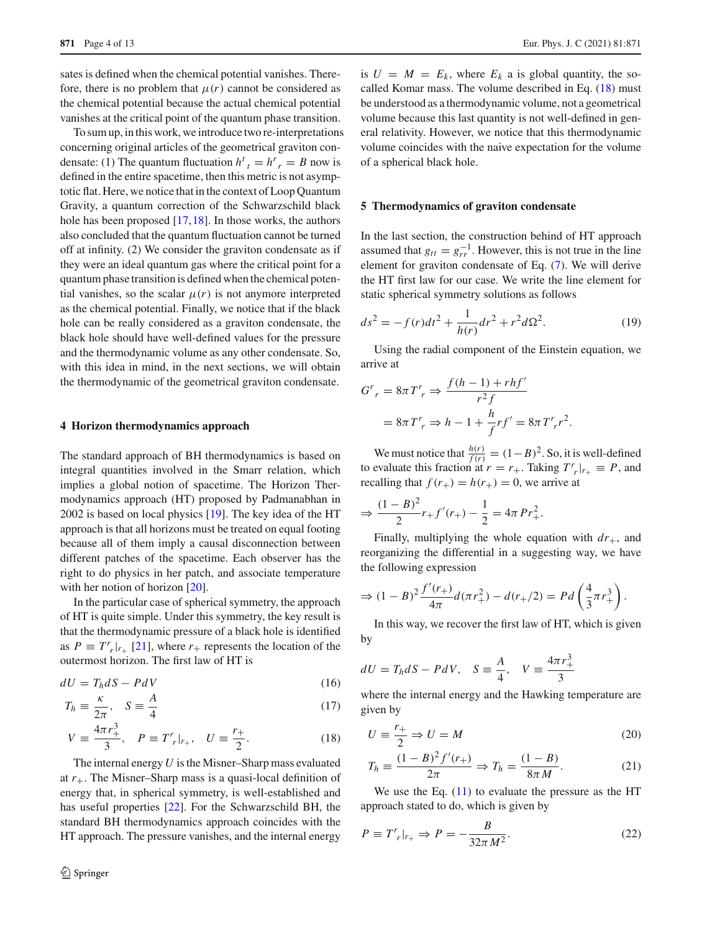sates is defined when the chemical potential vanishes. Therefore, there is no problem that  $\mu(r)$  cannot be considered as the chemical potential because the actual chemical potential vanishes at the critical point of the quantum phase transition.

To sum up, in this work, we introduce two re-interpretations concerning original articles of the geometrical graviton condensate: (1) The quantum fluctuation  $h^t{}_t = h^r{}_r = B$  now is defined in the entire spacetime, then this metric is not asymptotic flat. Here, we notice that in the context of Loop Quantum Gravity, a quantum correction of the Schwarzschild black hole has been proposed [\[17](#page-11-15)[,18](#page-12-0)]. In those works, the authors also concluded that the quantum fluctuation cannot be turned off at infinity. (2) We consider the graviton condensate as if they were an ideal quantum gas where the critical point for a quantum phase transition is defined when the chemical potential vanishes, so the scalar  $\mu(r)$  is not anymore interpreted as the chemical potential. Finally, we notice that if the black hole can be really considered as a graviton condensate, the black hole should have well-defined values for the pressure and the thermodynamic volume as any other condensate. So, with this idea in mind, in the next sections, we will obtain the thermodynamic of the geometrical graviton condensate.

#### <span id="page-3-0"></span>**4 Horizon thermodynamics approach**

The standard approach of BH thermodynamics is based on integral quantities involved in the Smarr relation, which implies a global notion of spacetime. The Horizon Thermodynamics approach (HT) proposed by Padmanabhan in 2002 is based on local physics [\[19](#page-12-1)]. The key idea of the HT approach is that all horizons must be treated on equal footing because all of them imply a causal disconnection between different patches of the spacetime. Each observer has the right to do physics in her patch, and associate temperature with her notion of horizon [\[20](#page-12-2)].

In the particular case of spherical symmetry, the approach of HT is quite simple. Under this symmetry, the key result is that the thermodynamic pressure of a black hole is identified as  $P \equiv T^r r_{r} | r_{+}$  [\[21\]](#page-12-3), where  $r_{+}$  represents the location of the outermost horizon. The first law of HT is

<span id="page-3-2"></span>
$$
dU = T_h dS - P dV \tag{16}
$$

$$
T_h \equiv \frac{\kappa}{2\pi}, \quad S \equiv \frac{A}{4} \tag{17}
$$

$$
V = \frac{4\pi r_+^3}{3}, \quad P \equiv T_r' |_{r_+}, \quad U \equiv \frac{r_+}{2}.
$$
 (18)

The internal energy *U* is the Misner–Sharp mass evaluated at  $r_{+}$ . The Misner–Sharp mass is a quasi-local definition of energy that, in spherical symmetry, is well-established and has useful properties [\[22\]](#page-12-4). For the Schwarzschild BH, the standard BH thermodynamics approach coincides with the HT approach. The pressure vanishes, and the internal energy

is  $U = M = E_k$ , where  $E_k$  a is global quantity, the socalled Komar mass. The volume described in Eq. [\(18\)](#page-3-2) must be understood as a thermodynamic volume, not a geometrical volume because this last quantity is not well-defined in general relativity. However, we notice that this thermodynamic volume coincides with the naive expectation for the volume of a spherical black hole.

## <span id="page-3-1"></span>**5 Thermodynamics of graviton condensate**

In the last section, the construction behind of HT approach assumed that  $g_{tt} = g_{rr}^{-1}$ . However, this is not true in the line element for graviton condensate of Eq. [\(7\)](#page-1-3). We will derive the HT first law for our case. We write the line element for static spherical symmetry solutions as follows

$$
ds^{2} = -f(r)dt^{2} + \frac{1}{h(r)}dr^{2} + r^{2}d\Omega^{2}.
$$
 (19)

Using the radial component of the Einstein equation, we arrive at

$$
Gr = 8\pi Tr \Rightarrow \frac{f(h-1) + rhf'}{r^2 f}
$$
  
= 8\pi T<sup>r</sup> \Rightarrow h - 1 +  $\frac{h}{f}$ rf' = 8\pi T<sup>r</sup> r<sup>2</sup>.

We must notice that  $\frac{h(r)}{f(r)} = (1 - B)^2$ . So, it is well-defined to evaluate this fraction at  $r = r_+$ . Taking  $T^r r |_{r_+} \equiv P$ , and recalling that  $f(r_{+}) = h(r_{+}) = 0$ , we arrive at

$$
\Rightarrow \frac{(1-B)^2}{2}r_+f'(r_+) - \frac{1}{2} = 4\pi Pr_+^2.
$$

Finally, multiplying the whole equation with  $dr_{+}$ , and reorganizing the differential in a suggesting way, we have the following expression

$$
\Rightarrow (1-B)^2 \frac{f'(r_+)}{4\pi} d(\pi r_+^2) - d(r_+/2) = P d \left( \frac{4}{3} \pi r_+^3 \right).
$$

In this way, we recover the first law of HT, which is given by

$$
dU = T_h dS - P dV, \quad S \equiv \frac{A}{4}, \quad V \equiv \frac{4\pi r_+^3}{3}
$$

where the internal energy and the Hawking temperature are given by

<span id="page-3-4"></span>
$$
U \equiv \frac{r_+}{2} \Rightarrow U = M \tag{20}
$$

$$
T_h \equiv \frac{(1 - B)^2 f'(r_+)}{2\pi} \Rightarrow T_h = \frac{(1 - B)}{8\pi M}.
$$
 (21)

We use the Eq.  $(11)$  to evaluate the pressure as the HT approach stated to do, which is given by

<span id="page-3-3"></span>
$$
P \equiv T^r_{\ r}|_{r_+} \Rightarrow P = -\frac{B}{32\pi M^2}.\tag{22}
$$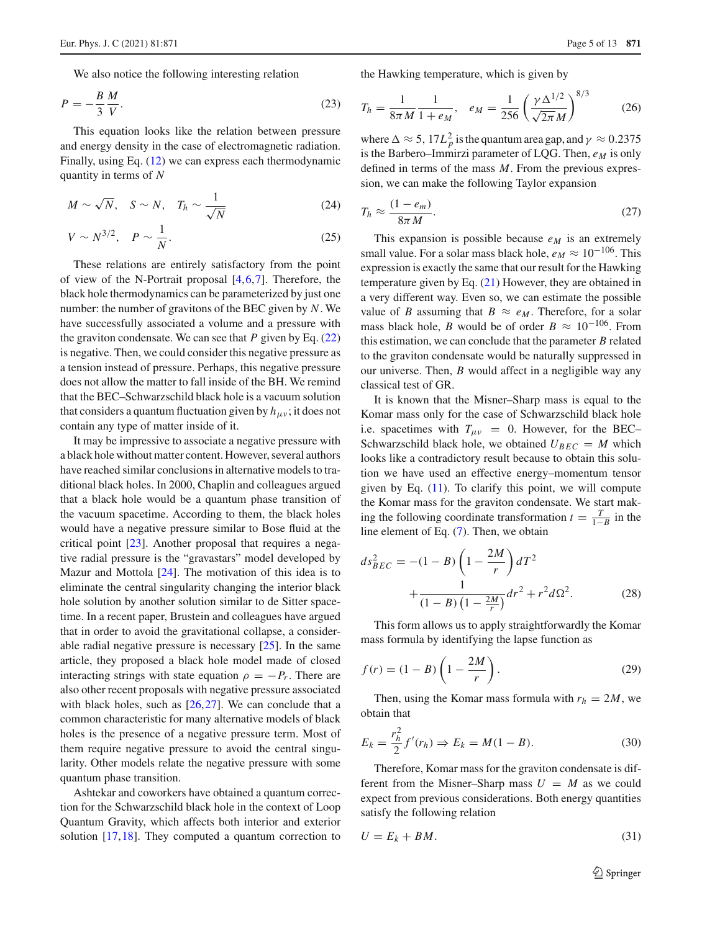We also notice the following interesting relation

$$
P = -\frac{B}{3} \frac{M}{V}.\tag{23}
$$

This equation looks like the relation between pressure and energy density in the case of electromagnetic radiation. Finally, using Eq. [\(12\)](#page-2-2) we can express each thermodynamic quantity in terms of *N*

$$
M \sim \sqrt{N}, \quad S \sim N, \quad T_h \sim \frac{1}{\sqrt{N}} \tag{24}
$$

$$
V \sim N^{3/2}, \quad P \sim \frac{1}{N}.\tag{25}
$$

These relations are entirely satisfactory from the point of view of the N-Portrait proposal [\[4](#page-11-2)[,6](#page-11-4),[7\]](#page-11-5). Therefore, the black hole thermodynamics can be parameterized by just one number: the number of gravitons of the BEC given by *N*. We have successfully associated a volume and a pressure with the graviton condensate. We can see that  $P$  given by Eq.  $(22)$ is negative. Then, we could consider this negative pressure as a tension instead of pressure. Perhaps, this negative pressure does not allow the matter to fall inside of the BH. We remind that the BEC–Schwarzschild black hole is a vacuum solution that considers a quantum fluctuation given by  $h_{\mu\nu}$ ; it does not contain any type of matter inside of it.

It may be impressive to associate a negative pressure with a black hole without matter content. However, several authors have reached similar conclusions in alternative models to traditional black holes. In 2000, Chaplin and colleagues argued that a black hole would be a quantum phase transition of the vacuum spacetime. According to them, the black holes would have a negative pressure similar to Bose fluid at the critical point [\[23](#page-12-5)]. Another proposal that requires a negative radial pressure is the "gravastars" model developed by Mazur and Mottola [\[24\]](#page-12-6). The motivation of this idea is to eliminate the central singularity changing the interior black hole solution by another solution similar to de Sitter spacetime. In a recent paper, Brustein and colleagues have argued that in order to avoid the gravitational collapse, a considerable radial negative pressure is necessary [\[25](#page-12-7)]. In the same article, they proposed a black hole model made of closed interacting strings with state equation  $\rho = -P_r$ . There are also other recent proposals with negative pressure associated with black holes, such as  $[26, 27]$  $[26, 27]$ . We can conclude that a common characteristic for many alternative models of black holes is the presence of a negative pressure term. Most of them require negative pressure to avoid the central singularity. Other models relate the negative pressure with some quantum phase transition.

Ashtekar and coworkers have obtained a quantum correction for the Schwarzschild black hole in the context of Loop Quantum Gravity, which affects both interior and exterior solution [\[17](#page-11-15),[18](#page-12-0)]. They computed a quantum correction to the Hawking temperature, which is given by

$$
T_h = \frac{1}{8\pi M} \frac{1}{1 + e_M}, \quad e_M = \frac{1}{256} \left(\frac{\gamma \Delta^{1/2}}{\sqrt{2\pi} M}\right)^{8/3} \tag{26}
$$

where  $\Delta \approx 5$ ,  $17L_p^2$  is the quantum area gap, and  $\gamma \approx 0.2375$ is the Barbero–Immirzi parameter of LQG. Then,  $e_M$  is only defined in terms of the mass *M*. From the previous expression, we can make the following Taylor expansion

$$
T_h \approx \frac{(1 - e_m)}{8\pi M}.
$$
\n(27)

This expansion is possible because  $e_M$  is an extremely small value. For a solar mass black hole,  $e_M \approx 10^{-106}$ . This expression is exactly the same that our result for the Hawking temperature given by Eq. [\(21\)](#page-3-4) However, they are obtained in a very different way. Even so, we can estimate the possible value of *B* assuming that  $B \approx e_M$ . Therefore, for a solar mass black hole, *B* would be of order  $B \approx 10^{-106}$ . From this estimation, we can conclude that the parameter *B* related to the graviton condensate would be naturally suppressed in our universe. Then, *B* would affect in a negligible way any classical test of GR.

It is known that the Misner–Sharp mass is equal to the Komar mass only for the case of Schwarzschild black hole i.e. spacetimes with  $T_{\mu\nu} = 0$ . However, for the BEC– Schwarzschild black hole, we obtained  $U_{BEC} = M$  which looks like a contradictory result because to obtain this solution we have used an effective energy–momentum tensor given by Eq.  $(11)$ . To clarify this point, we will compute the Komar mass for the graviton condensate. We start making the following coordinate transformation  $t = \frac{T}{1-B}$  in the line element of Eq. [\(7\)](#page-1-3). Then, we obtain

$$
ds_{BEC}^{2} = -(1 - B)\left(1 - \frac{2M}{r}\right)dT^{2} + \frac{1}{(1 - B)\left(1 - \frac{2M}{r}\right)}dr^{2} + r^{2}d\Omega^{2}.
$$
 (28)

This form allows us to apply straightforwardly the Komar mass formula by identifying the lapse function as

<span id="page-4-1"></span>
$$
f(r) = (1 - B) \left( 1 - \frac{2M}{r} \right). \tag{29}
$$

Then, using the Komar mass formula with  $r_h = 2M$ , we obtain that

$$
E_k = \frac{r_h^2}{2} f'(r_h) \Rightarrow E_k = M(1 - B). \tag{30}
$$

Therefore, Komar mass for the graviton condensate is different from the Misner–Sharp mass  $U = M$  as we could expect from previous considerations. Both energy quantities satisfy the following relation

<span id="page-4-0"></span>
$$
U = E_k + BM. \tag{31}
$$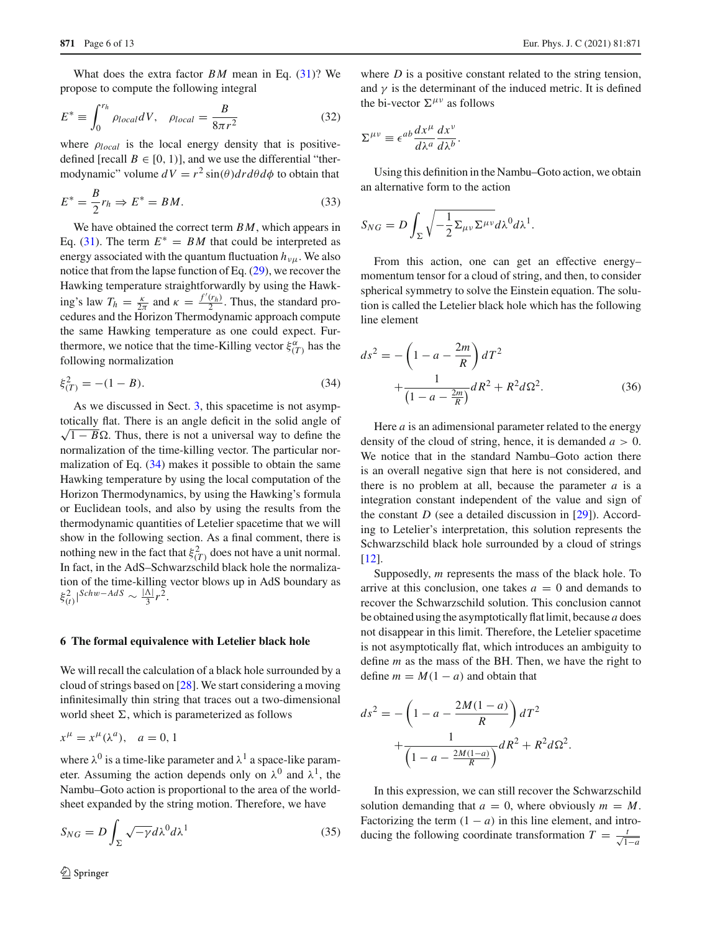What does the extra factor *BM* mean in Eq. [\(31\)](#page-4-0)? We propose to compute the following integral

$$
E^* \equiv \int_0^{r_h} \rho_{local} dV, \quad \rho_{local} = \frac{B}{8\pi r^2}
$$
 (32)

where  $\rho_{local}$  is the local energy density that is positivedefined [recall  $B \in [0, 1]$ ], and we use the differential "thermodynamic" volume  $dV = r^2 \sin(\theta) dr d\theta d\phi$  to obtain that

$$
E^* = \frac{B}{2}r_h \Rightarrow E^* = BM. \tag{33}
$$

We have obtained the correct term *BM*, which appears in Eq. [\(31\)](#page-4-0). The term  $E^* = BM$  that could be interpreted as energy associated with the quantum fluctuation  $h_{\nu\mu}$ . We also notice that from the lapse function of Eq. [\(29\)](#page-4-1), we recover the Hawking temperature straightforwardly by using the Hawking's law  $T_h = \frac{\kappa}{2\pi}$  and  $\kappa = \frac{f'(r_h)}{2}$ . Thus, the standard procedures and the Horizon Thermodynamic approach compute the same Hawking temperature as one could expect. Furthermore, we notice that the time-Killing vector  $\xi_{(T)}^{\alpha}$  has the following normalization

<span id="page-5-1"></span>
$$
\xi_{(T)}^2 = -(1 - B). \tag{34}
$$

As we discussed in Sect. [3,](#page-2-0) this spacetime is not asymptotically flat. There is an angle deficit in the solid angle of  $\sqrt{1 - B} \Omega$ . Thus, there is not a universal way to define the normalization of the time-killing vector. The particular normalization of Eq.  $(34)$  makes it possible to obtain the same Hawking temperature by using the local computation of the Horizon Thermodynamics, by using the Hawking's formula or Euclidean tools, and also by using the results from the thermodynamic quantities of Letelier spacetime that we will show in the following section. As a final comment, there is nothing new in the fact that  $\xi^2(T)$  does not have a unit normal. In fact, in the AdS–Schwarzschild black hole the normalization of the time-killing vector blows up in AdS boundary as  $\langle \xi_{(t)}^2 |$ <sup>Schw–AdS</sup> ~  $\frac{|\Lambda|}{3} r^2$ .

#### <span id="page-5-0"></span>**6 The formal equivalence with Letelier black hole**

We will recall the calculation of a black hole surrounded by a cloud of strings based on [\[28\]](#page-12-10). We start considering a moving infinitesimally thin string that traces out a two-dimensional world sheet  $\Sigma$ , which is parameterized as follows

$$
x^{\mu} = x^{\mu}(\lambda^{a}), \quad a = 0, 1
$$

where  $\lambda^0$  is a time-like parameter and  $\lambda^1$  a space-like parameter. Assuming the action depends only on  $\lambda^0$  and  $\lambda^1$ , the Nambu–Goto action is proportional to the area of the worldsheet expanded by the string motion. Therefore, we have

<span id="page-5-2"></span>
$$
S_{NG} = D \int_{\Sigma} \sqrt{-\gamma} d\lambda^0 d\lambda^1 \tag{35}
$$

where *D* is a positive constant related to the string tension. and  $\gamma$  is the determinant of the induced metric. It is defined the bi-vector  $\Sigma^{\mu\nu}$  as follows

$$
\Sigma^{\mu\nu} \equiv \epsilon^{ab} \frac{dx^{\mu}}{d\lambda^{a}} \frac{dx^{\nu}}{d\lambda^{b}}.
$$

Using this definition in the Nambu–Goto action, we obtain an alternative form to the action

$$
S_{NG} = D \int_{\Sigma} \sqrt{-\frac{1}{2} \Sigma_{\mu\nu} \Sigma^{\mu\nu}} d\lambda^0 d\lambda^1.
$$

From this action, one can get an effective energy– momentum tensor for a cloud of string, and then, to consider spherical symmetry to solve the Einstein equation. The solution is called the Letelier black hole which has the following line element

$$
ds^{2} = -\left(1 - a - \frac{2m}{R}\right)dT^{2} + \frac{1}{\left(1 - a - \frac{2m}{R}\right)}dR^{2} + R^{2}d\Omega^{2}.
$$
 (36)

Here *a* is an adimensional parameter related to the energy density of the cloud of string, hence, it is demanded  $a > 0$ . We notice that in the standard Nambu–Goto action there is an overall negative sign that here is not considered, and there is no problem at all, because the parameter *a* is a integration constant independent of the value and sign of the constant  $D$  (see a detailed discussion in  $[29]$  $[29]$ ). According to Letelier's interpretation, this solution represents the Schwarzschild black hole surrounded by a cloud of strings [\[12](#page-11-10)].

Supposedly, *m* represents the mass of the black hole. To arrive at this conclusion, one takes  $a = 0$  and demands to recover the Schwarzschild solution. This conclusion cannot be obtained using the asymptotically flat limit, because *a* does not disappear in this limit. Therefore, the Letelier spacetime is not asymptotically flat, which introduces an ambiguity to define *m* as the mass of the BH. Then, we have the right to define  $m = M(1 - a)$  and obtain that

$$
ds^{2} = -\left(1 - a - \frac{2M(1 - a)}{R}\right)dT^{2} + \frac{1}{\left(1 - a - \frac{2M(1 - a)}{R}\right)}dR^{2} + R^{2}d\Omega^{2}.
$$

In this expression, we can still recover the Schwarzschild solution demanding that  $a = 0$ , where obviously  $m = M$ . Factorizing the term  $(1 - a)$  in this line element, and introducing the following coordinate transformation  $T = \frac{t}{\sqrt{1-a}}$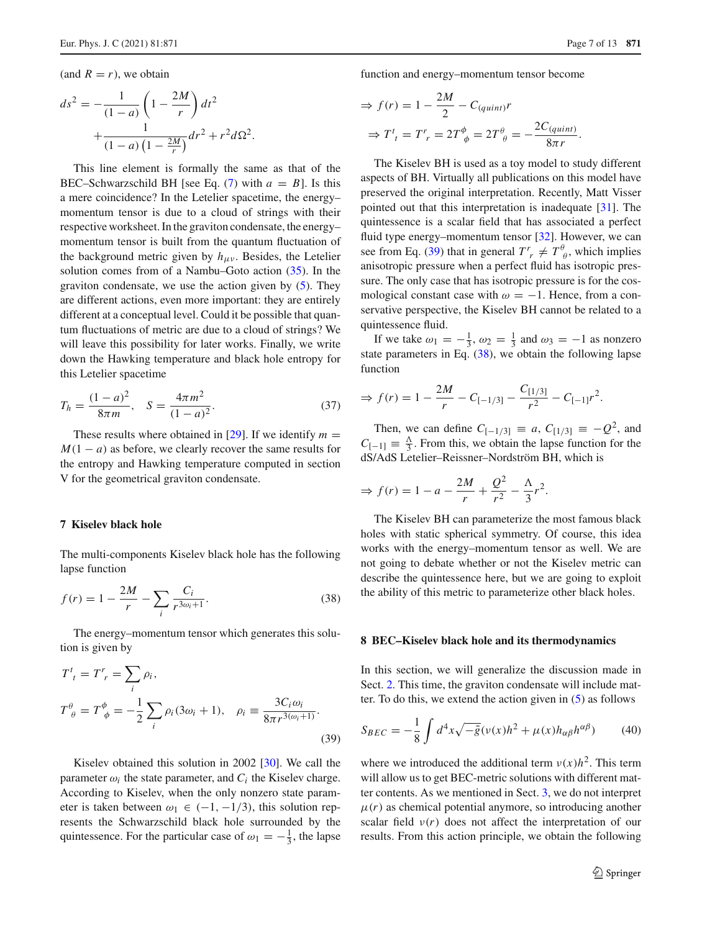(and  $R = r$ ), we obtain

$$
ds^{2} = -\frac{1}{(1-a)} \left( 1 - \frac{2M}{r} \right) dt^{2} + \frac{1}{(1-a) \left( 1 - \frac{2M}{r} \right)} dr^{2} + r^{2} d\Omega^{2}.
$$

This line element is formally the same as that of the BEC–Schwarzschild BH [see Eq.  $(7)$  with  $a = B$ ]. Is this a mere coincidence? In the Letelier spacetime, the energy– momentum tensor is due to a cloud of strings with their respective worksheet. In the graviton condensate, the energy– momentum tensor is built from the quantum fluctuation of the background metric given by  $h_{\mu\nu}$ . Besides, the Letelier solution comes from of a Nambu–Goto action [\(35\)](#page-5-2). In the graviton condensate, we use the action given by  $(5)$ . They are different actions, even more important: they are entirely different at a conceptual level. Could it be possible that quantum fluctuations of metric are due to a cloud of strings? We will leave this possibility for later works. Finally, we write down the Hawking temperature and black hole entropy for this Letelier spacetime

$$
T_h = \frac{(1-a)^2}{8\pi m}, \quad S = \frac{4\pi m^2}{(1-a)^2}.
$$
 (37)

These results where obtained in [\[29](#page-12-11)]. If we identify  $m =$  $M(1 - a)$  as before, we clearly recover the same results for the entropy and Hawking temperature computed in section V for the geometrical graviton condensate.

## <span id="page-6-0"></span>**7 Kiselev black hole**

The multi-components Kiselev black hole has the following lapse function

<span id="page-6-3"></span>
$$
f(r) = 1 - \frac{2M}{r} - \sum_{i} \frac{C_i}{r^{3\omega_i + 1}}.
$$
 (38)

The energy–momentum tensor which generates this solution is given by

<span id="page-6-2"></span>
$$
T^{t}_{t} = T^{r}_{r} = \sum_{i} \rho_{i},
$$
  
\n
$$
T^{\theta}_{\theta} = T^{\phi}_{\phi} = -\frac{1}{2} \sum_{i} \rho_{i} (3\omega_{i} + 1), \quad \rho_{i} \equiv \frac{3C_{i}\omega_{i}}{8\pi r^{3(\omega_{i}+1)}}.
$$
\n(39)

Kiselev obtained this solution in 2002 [\[30\]](#page-12-12). We call the parameter  $\omega_i$  the state parameter, and  $C_i$  the Kiselev charge. According to Kiselev, when the only nonzero state parameter is taken between  $\omega_1 \in (-1, -1/3)$ , this solution represents the Schwarzschild black hole surrounded by the quintessence. For the particular case of  $\omega_1 = -\frac{1}{3}$ , the lapse function and energy–momentum tensor become

$$
\Rightarrow f(r) = 1 - \frac{2M}{2} - C_{(quint)}r
$$

$$
\Rightarrow T^t_{\ \,t} = T^r_{\ \,r} = 2T^{\phi}_{\ \phi} = 2T^{\theta}_{\ \theta} = -\frac{2C_{(quint)}}{8\pi r}.
$$

The Kiselev BH is used as a toy model to study different aspects of BH. Virtually all publications on this model have preserved the original interpretation. Recently, Matt Visser pointed out that this interpretation is inadequate [\[31](#page-12-13)]. The quintessence is a scalar field that has associated a perfect fluid type energy–momentum tensor [\[32](#page-12-14)]. However, we can see from Eq. [\(39\)](#page-6-2) that in general  $T^r$   $\neq T^{\theta}_{\theta}$ , which implies anisotropic pressure when a perfect fluid has isotropic pressure. The only case that has isotropic pressure is for the cosmological constant case with  $\omega = -1$ . Hence, from a conservative perspective, the Kiselev BH cannot be related to a quintessence fluid.

If we take  $\omega_1 = -\frac{1}{3}$ ,  $\omega_2 = \frac{1}{3}$  and  $\omega_3 = -1$  as nonzero state parameters in Eq. [\(38\)](#page-6-3), we obtain the following lapse function

$$
\Rightarrow f(r) = 1 - \frac{2M}{r} - C_{[-1/3]} - \frac{C_{[1/3]}}{r^2} - C_{[-1]}r^2.
$$

Then, we can define  $C_{[-1/3]} \equiv a$ ,  $C_{[1/3]} \equiv -Q^2$ , and  $C_{[-1]} \equiv \frac{\Delta}{3}$ . From this, we obtain the lapse function for the dS/AdS Letelier–Reissner–Nordström BH, which is

$$
\Rightarrow f(r) = 1 - a - \frac{2M}{r} + \frac{Q^2}{r^2} - \frac{\Lambda}{3}r^2.
$$

The Kiselev BH can parameterize the most famous black holes with static spherical symmetry. Of course, this idea works with the energy–momentum tensor as well. We are not going to debate whether or not the Kiselev metric can describe the quintessence here, but we are going to exploit the ability of this metric to parameterize other black holes.

### <span id="page-6-1"></span>**8 BEC–Kiselev black hole and its thermodynamics**

In this section, we will generalize the discussion made in Sect. [2.](#page-1-0) This time, the graviton condensate will include matter. To do this, we extend the action given in [\(5\)](#page-1-6) as follows

$$
S_{BEC} = -\frac{1}{8} \int d^4x \sqrt{-\tilde{g}}(\nu(x)h^2 + \mu(x)h_{\alpha\beta}h^{\alpha\beta}) \tag{40}
$$

where we introduced the additional term  $v(x)h^2$ . This term will allow us to get BEC-metric solutions with different matter contents. As we mentioned in Sect. [3,](#page-2-0) we do not interpret  $\mu(r)$  as chemical potential anymore, so introducing another scalar field  $v(r)$  does not affect the interpretation of our results. From this action principle, we obtain the following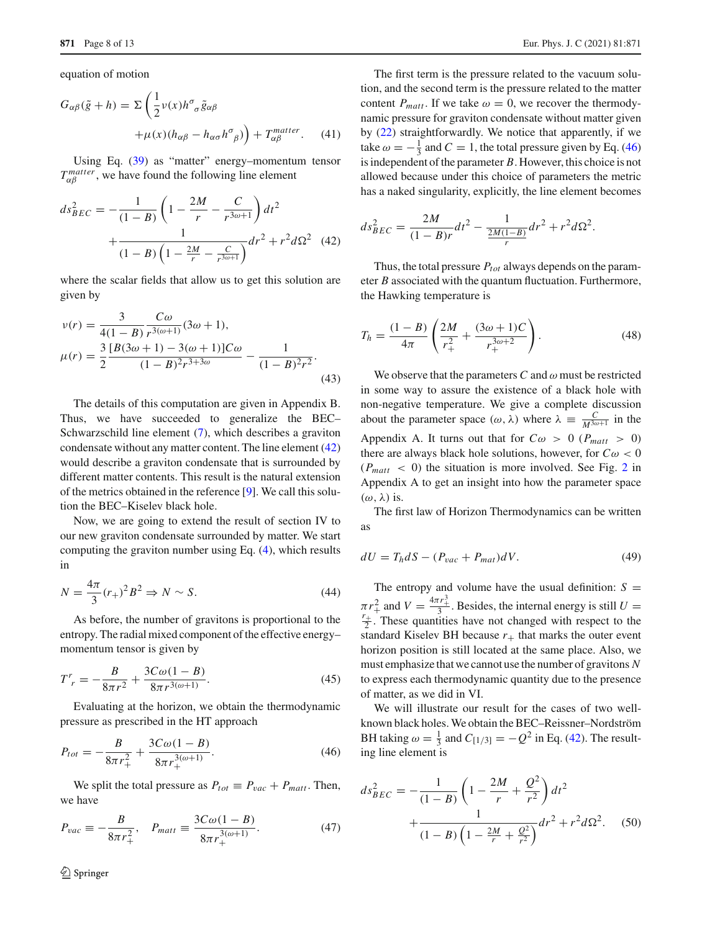equation of motion

<span id="page-7-3"></span>
$$
G_{\alpha\beta}(\tilde{g} + h) = \Sigma \left( \frac{1}{2} \nu(x) h^{\sigma}{}_{\sigma} \tilde{g}_{\alpha\beta} + \mu(x) (h_{\alpha\beta} - h_{\alpha\sigma} h^{\sigma}{}_{\beta}) \right) + T_{\alpha\beta}^{matter}.
$$
 (41)

Using Eq. [\(39\)](#page-6-2) as "matter" energy–momentum tensor  $T_{\alpha\beta}^{matter}$ , we have found the following line element

<span id="page-7-0"></span>
$$
ds_{BEC}^2 = -\frac{1}{(1-B)} \left( 1 - \frac{2M}{r} - \frac{C}{r^{3\omega+1}} \right) dt^2 + \frac{1}{(1-B) \left( 1 - \frac{2M}{r} - \frac{C}{r^{3\omega+1}} \right)} dr^2 + r^2 d\Omega^2 \quad (42)
$$

where the scalar fields that allow us to get this solution are given by

<span id="page-7-4"></span>
$$
\nu(r) = \frac{3}{4(1-B)} \frac{C\omega}{r^{3(\omega+1)}} (3\omega+1),
$$
  
\n
$$
\mu(r) = \frac{3}{2} \frac{[B(3\omega+1) - 3(\omega+1)]C\omega}{(1-B)^2 r^{3+3\omega}} - \frac{1}{(1-B)^2 r^2}.
$$
\n(43)

The details of this computation are given in Appendix B. Thus, we have succeeded to generalize the BEC– Schwarzschild line element [\(7\)](#page-1-3), which describes a graviton condensate without any matter content. The line element [\(42\)](#page-7-0) would describe a graviton condensate that is surrounded by different matter contents. This result is the natural extension of the metrics obtained in the reference [\[9\]](#page-11-7). We call this solution the BEC–Kiselev black hole.

Now, we are going to extend the result of section IV to our new graviton condensate surrounded by matter. We start computing the graviton number using Eq. [\(4\)](#page-1-2), which results in

$$
N = \frac{4\pi}{3}(r_{+})^{2}B^{2} \Rightarrow N \sim S.
$$
 (44)

As before, the number of gravitons is proportional to the entropy. The radial mixed component of the effective energy– momentum tensor is given by

$$
T_r^r = -\frac{B}{8\pi r^2} + \frac{3C\omega(1 - B)}{8\pi r^{3(\omega + 1)}}.
$$
\n(45)

Evaluating at the horizon, we obtain the thermodynamic pressure as prescribed in the HT approach

<span id="page-7-1"></span>
$$
P_{tot} = -\frac{B}{8\pi r_+^2} + \frac{3C\omega(1 - B)}{8\pi r_+^{3(\omega + 1)}}.
$$
\n(46)

We split the total pressure as  $P_{tot} \equiv P_{vac} + P_{matt}$ . Then, we have

<span id="page-7-2"></span>
$$
P_{vac} \equiv -\frac{B}{8\pi r_+^2}, \quad P_{matt} \equiv \frac{3C\omega(1-B)}{8\pi r_+^{3(\omega+1)}}.
$$
 (47)

The first term is the pressure related to the vacuum solution, and the second term is the pressure related to the matter content  $P_{matt}$ . If we take  $\omega = 0$ , we recover the thermodynamic pressure for graviton condensate without matter given by [\(22\)](#page-3-3) straightforwardly. We notice that apparently, if we take  $\omega = -\frac{1}{3}$  and  $C = 1$ , the total pressure given by Eq. [\(46\)](#page-7-1) is independent of the parameter *B*. However, this choice is not allowed because under this choice of parameters the metric has a naked singularity, explicitly, the line element becomes

$$
ds_{BEC}^2 = \frac{2M}{(1-B)r}dt^2 - \frac{1}{\frac{2M(1-B)}{r}}dr^2 + r^2d\Omega^2.
$$

Thus, the total pressure  $P_{tot}$  always depends on the parameter *B* associated with the quantum fluctuation. Furthermore, the Hawking temperature is

$$
T_h = \frac{(1-B)}{4\pi} \left( \frac{2M}{r_+^2} + \frac{(3\omega + 1)C}{r_+^{3\omega + 2}} \right). \tag{48}
$$

We observe that the parameters  $C$  and  $\omega$  must be restricted in some way to assure the existence of a black hole with non-negative temperature. We give a complete discussion about the parameter space  $(\omega, \lambda)$  where  $\lambda \equiv \frac{C}{M^{3\omega+1}}$  in the Appendix A. It turns out that for  $C\omega > 0$  ( $P_{\text{matt}} > 0$ ) there are always black hole solutions, however, for  $C\omega < 0$  $(P_{\text{matt}} < 0)$  the situation is more involved. See Fig. [2](#page-11-16) in Appendix A to get an insight into how the parameter space  $(\omega, \lambda)$  is.

The first law of Horizon Thermodynamics can be written as

$$
dU = T_h dS - (P_{vac} + P_{mat})dV.
$$
\n(49)

The entropy and volume have the usual definition:  $S =$  $\pi r_+^2$  and  $V = \frac{4\pi r_+^3}{3}$ . Besides, the internal energy is still  $U = \frac{r_+^2}{3}$ . These quantities have not changed with respect to the  $\frac{r_+}{2}$ . These quantities have not changed with respect to the standard Kiselev BH because  $r_{+}$  that marks the outer event horizon position is still located at the same place. Also, we must emphasize that we cannot use the number of gravitons *N* to express each thermodynamic quantity due to the presence of matter, as we did in VI.

We will illustrate our result for the cases of two wellknown black holes. We obtain the BEC–Reissner–Nordström BH taking  $\omega = \frac{1}{3}$  and  $C_{[1/3]} = -Q^2$  in Eq. [\(42\)](#page-7-0). The resulting line element is

$$
ds_{BEC}^2 = -\frac{1}{(1-B)} \left( 1 - \frac{2M}{r} + \frac{Q^2}{r^2} \right) dt^2 + \frac{1}{(1-B) \left( 1 - \frac{2M}{r} + \frac{Q^2}{r^2} \right)} dr^2 + r^2 d\Omega^2.
$$
 (50)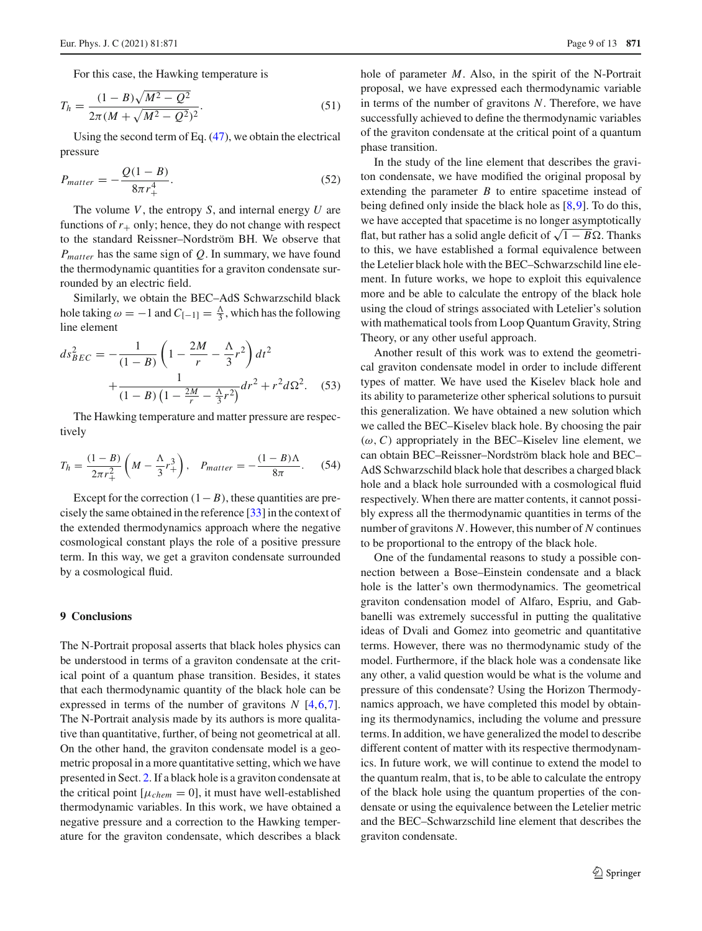$$
T_h = \frac{(1 - B)\sqrt{M^2 - Q^2}}{2\pi (M + \sqrt{M^2 - Q^2})^2}.
$$
\n(51)

Using the second term of Eq. [\(47\)](#page-7-2), we obtain the electrical pressure

$$
P_{matter} = -\frac{Q(1-B)}{8\pi r_+^4}.
$$
\n(52)

The volume *V*, the entropy *S*, and internal energy *U* are functions of  $r_{+}$  only; hence, they do not change with respect to the standard Reissner–Nordström BH. We observe that *Pmatter* has the same sign of *Q*. In summary, we have found the thermodynamic quantities for a graviton condensate surrounded by an electric field.

Similarly, we obtain the BEC–AdS Schwarzschild black hole taking  $\omega = -1$  and  $C_{[-1]} = \frac{\Lambda}{3}$ , which has the following line element

$$
ds_{BEC}^2 = -\frac{1}{(1-B)} \left( 1 - \frac{2M}{r} - \frac{\Lambda}{3} r^2 \right) dt^2
$$

$$
+ \frac{1}{(1-B) \left( 1 - \frac{2M}{r} - \frac{\Lambda}{3} r^2 \right)} dr^2 + r^2 d\Omega^2. \tag{53}
$$

The Hawking temperature and matter pressure are respectively

$$
T_h = \frac{(1-B)}{2\pi r_+^2} \left( M - \frac{\Lambda}{3} r_+^3 \right), \quad P_{matter} = -\frac{(1-B)\Lambda}{8\pi}.
$$
 (54)

Except for the correction  $(1 – B)$ , these quantities are precisely the same obtained in the reference [\[33](#page-12-15)] in the context of the extended thermodynamics approach where the negative cosmological constant plays the role of a positive pressure term. In this way, we get a graviton condensate surrounded by a cosmological fluid.

## <span id="page-8-0"></span>**9 Conclusions**

The N-Portrait proposal asserts that black holes physics can be understood in terms of a graviton condensate at the critical point of a quantum phase transition. Besides, it states that each thermodynamic quantity of the black hole can be expressed in terms of the number of gravitons *N* [\[4](#page-11-2)[,6](#page-11-4)[,7](#page-11-5)]. The N-Portrait analysis made by its authors is more qualitative than quantitative, further, of being not geometrical at all. On the other hand, the graviton condensate model is a geometric proposal in a more quantitative setting, which we have presented in Sect. [2.](#page-1-0) If a black hole is a graviton condensate at the critical point  $[\mu_{chem} = 0]$ , it must have well-established thermodynamic variables. In this work, we have obtained a negative pressure and a correction to the Hawking temperature for the graviton condensate, which describes a black hole of parameter *M*. Also, in the spirit of the N-Portrait proposal, we have expressed each thermodynamic variable in terms of the number of gravitons *N*. Therefore, we have successfully achieved to define the thermodynamic variables of the graviton condensate at the critical point of a quantum phase transition.

In the study of the line element that describes the graviton condensate, we have modified the original proposal by extending the parameter *B* to entire spacetime instead of being defined only inside the black hole as [\[8](#page-11-6)[,9](#page-11-7)]. To do this, we have accepted that spacetime is no longer asymptotically flat, but rather has a solid angle deficit of  $\sqrt{1 - B\Omega}$ . Thanks to this, we have established a formal equivalence between the Letelier black hole with the BEC–Schwarzschild line element. In future works, we hope to exploit this equivalence more and be able to calculate the entropy of the black hole using the cloud of strings associated with Letelier's solution with mathematical tools from Loop Quantum Gravity, String Theory, or any other useful approach.

Another result of this work was to extend the geometrical graviton condensate model in order to include different types of matter. We have used the Kiselev black hole and its ability to parameterize other spherical solutions to pursuit this generalization. We have obtained a new solution which we called the BEC–Kiselev black hole. By choosing the pair  $(\omega, C)$  appropriately in the BEC–Kiselev line element, we can obtain BEC–Reissner–Nordström black hole and BEC– AdS Schwarzschild black hole that describes a charged black hole and a black hole surrounded with a cosmological fluid respectively. When there are matter contents, it cannot possibly express all the thermodynamic quantities in terms of the number of gravitons *N*. However, this number of *N* continues to be proportional to the entropy of the black hole.

One of the fundamental reasons to study a possible connection between a Bose–Einstein condensate and a black hole is the latter's own thermodynamics. The geometrical graviton condensation model of Alfaro, Espriu, and Gabbanelli was extremely successful in putting the qualitative ideas of Dvali and Gomez into geometric and quantitative terms. However, there was no thermodynamic study of the model. Furthermore, if the black hole was a condensate like any other, a valid question would be what is the volume and pressure of this condensate? Using the Horizon Thermodynamics approach, we have completed this model by obtaining its thermodynamics, including the volume and pressure terms. In addition, we have generalized the model to describe different content of matter with its respective thermodynamics. In future work, we will continue to extend the model to the quantum realm, that is, to be able to calculate the entropy of the black hole using the quantum properties of the condensate or using the equivalence between the Letelier metric and the BEC–Schwarzschild line element that describes the graviton condensate.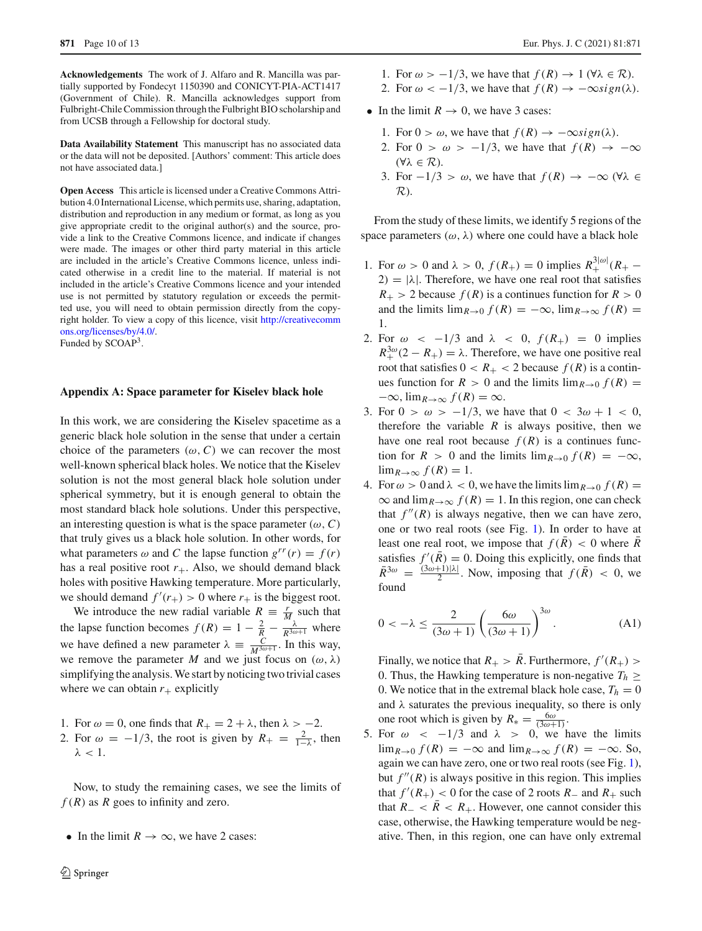**Acknowledgements** The work of J. Alfaro and R. Mancilla was partially supported by Fondecyt 1150390 and CONICYT-PIA-ACT1417 (Government of Chile). R. Mancilla acknowledges support from Fulbright-Chile Commission through the Fulbright BIO scholarship and from UCSB through a Fellowship for doctoral study.

**Data Availability Statement** This manuscript has no associated data or the data will not be deposited. [Authors' comment: This article does not have associated data.]

**Open Access** This article is licensed under a Creative Commons Attribution 4.0 International License, which permits use, sharing, adaptation, distribution and reproduction in any medium or format, as long as you give appropriate credit to the original author(s) and the source, provide a link to the Creative Commons licence, and indicate if changes were made. The images or other third party material in this article are included in the article's Creative Commons licence, unless indicated otherwise in a credit line to the material. If material is not included in the article's Creative Commons licence and your intended use is not permitted by statutory regulation or exceeds the permitted use, you will need to obtain permission directly from the copyright holder. To view a copy of this licence, visit [http://creativecomm](http://creativecommons.org/licenses/by/4.0/) [ons.org/licenses/by/4.0/.](http://creativecommons.org/licenses/by/4.0/) Funded by SCOAP<sup>3</sup>.

## **Appendix A: Space parameter for Kiselev black hole**

In this work, we are considering the Kiselev spacetime as a generic black hole solution in the sense that under a certain choice of the parameters  $(\omega, C)$  we can recover the most well-known spherical black holes. We notice that the Kiselev solution is not the most general black hole solution under spherical symmetry, but it is enough general to obtain the most standard black hole solutions. Under this perspective, an interesting question is what is the space parameter  $(\omega, C)$ that truly gives us a black hole solution. In other words, for what parameters  $\omega$  and *C* the lapse function  $g^{rr}(r) = f(r)$ has a real positive root  $r_{+}$ . Also, we should demand black holes with positive Hawking temperature. More particularly, we should demand  $f'(r_+) > 0$  where  $r_+$  is the biggest root.

We introduce the new radial variable  $R = \frac{r}{M}$  such that the lapse function becomes  $f(R) = 1 - \frac{2}{R} - \frac{\lambda}{R^{3\omega+1}}$  where we have defined a new parameter  $\lambda \equiv \frac{C}{M^{3\omega+1}}$ . In this way, we remove the parameter *M* and we just focus on  $(\omega, \lambda)$ simplifying the analysis. We start by noticing two trivial cases where we can obtain  $r_{+}$  explicitly

- 1. For  $\omega = 0$ , one finds that  $R_+ = 2 + \lambda$ , then  $\lambda > -2$ .
- 2. For  $\omega = -1/3$ , the root is given by  $R_+ = \frac{2}{1-\lambda}$ , then  $λ < 1$ .

Now, to study the remaining cases, we see the limits of  $f(R)$  as  $R$  goes to infinity and zero.

• In the limit  $R \to \infty$ , we have 2 cases:

- 1. For  $\omega > -1/3$ , we have that  $f(R) \to 1$  ( $\forall \lambda \in \mathcal{R}$ ).
- 2. For  $\omega < -1/3$ , we have that  $f(R) \rightarrow -\infty sign(\lambda)$ .
- In the limit  $R \to 0$ , we have 3 cases:
	- 1. For  $0 > \omega$ , we have that  $f(R) \rightarrow -\infty sign(\lambda)$ .
	- 2. For  $0 > \omega > -1/3$ , we have that  $f(R) \rightarrow -\infty$ (∀λ ∈ *R*).
	- 3. For  $-1/3 > \omega$ , we have that  $f(R) \rightarrow -\infty$  ( $\forall \lambda \in$ *R*).

From the study of these limits, we identify 5 regions of the space parameters  $(\omega, \lambda)$  where one could have a black hole

- 1. For  $\omega > 0$  and  $\lambda > 0$ ,  $f(R_+) = 0$  implies  $R_+^{3|\omega|}(R_+ 2) = |\lambda|$ . Therefore, we have one real root that satisfies  $R_+$  > 2 because  $f(R)$  is a continues function for  $R > 0$ and the limits  $\lim_{R\to 0} f(R) = -\infty$ ,  $\lim_{R\to \infty} f(R) =$ 1.
- 2. For  $\omega < -1/3$  and  $\lambda < 0$ ,  $f(R_+) = 0$  implies  $R_+^{3\omega}(2 - R_+) = \lambda$ . Therefore, we have one positive real root that satisfies  $0 < R_+ < 2$  because  $f(R)$  is a continues function for  $R > 0$  and the limits  $\lim_{R \to 0} f(R) =$  $-\infty$ ,  $\lim_{R\to\infty} f(R) = \infty$ .
- 3. For  $0 > \omega > -1/3$ , we have that  $0 < 3\omega + 1 < 0$ , therefore the variable  $R$  is always positive, then we have one real root because  $f(R)$  is a continues function for  $R > 0$  and the limits  $\lim_{R\to 0} f(R) = -\infty$ ,  $\lim_{R\to\infty} f(R) = 1.$
- 4. For  $\omega > 0$  and  $\lambda < 0$ , we have the limits  $\lim_{R\to 0} f(R) =$  $\infty$  and  $\lim_{R\to\infty} f(R) = 1$ . In this region, one can check that  $f''(R)$  is always negative, then we can have zero, one or two real roots (see Fig. [1\)](#page-10-0). In order to have at least one real root, we impose that  $f(R) < 0$  where *R* satisfies  $f'(R) = 0$ . Doing this explicitly, one finds that  $\bar{R}^{3\omega} = \frac{(3\omega+1)|\lambda|}{2}$ . Now, imposing that  $f(\bar{R}) < 0$ , we found

<span id="page-9-0"></span>
$$
0 < -\lambda \le \frac{2}{(3\omega + 1)} \left(\frac{6\omega}{(3\omega + 1)}\right)^{3\omega}.\tag{A1}
$$

Finally, we notice that  $R_+ > R$ . Furthermore,  $f'(R_+) >$ 0. Thus, the Hawking temperature is non-negative  $T_h \geq$ 0. We notice that in the extremal black hole case,  $T_h = 0$ and  $\lambda$  saturates the previous inequality, so there is only one root which is given by  $R_* = \frac{6\omega}{(3\omega+1)}$ .

5. For  $\omega \sim -1/3$  and  $\lambda > 0$ , we have the limits  $\lim_{R\to 0} f(R) = -\infty$  and  $\lim_{R\to \infty} f(R) = -\infty$ . So, again we can have zero, one or two real roots (see Fig. [1\)](#page-10-0), but  $f''(R)$  is always positive in this region. This implies that  $f'(R_+) < 0$  for the case of 2 roots  $R_-$  and  $R_+$  such that  $R_{-} < \overline{R} < R_{+}$ . However, one cannot consider this case, otherwise, the Hawking temperature would be negative. Then, in this region, one can have only extremal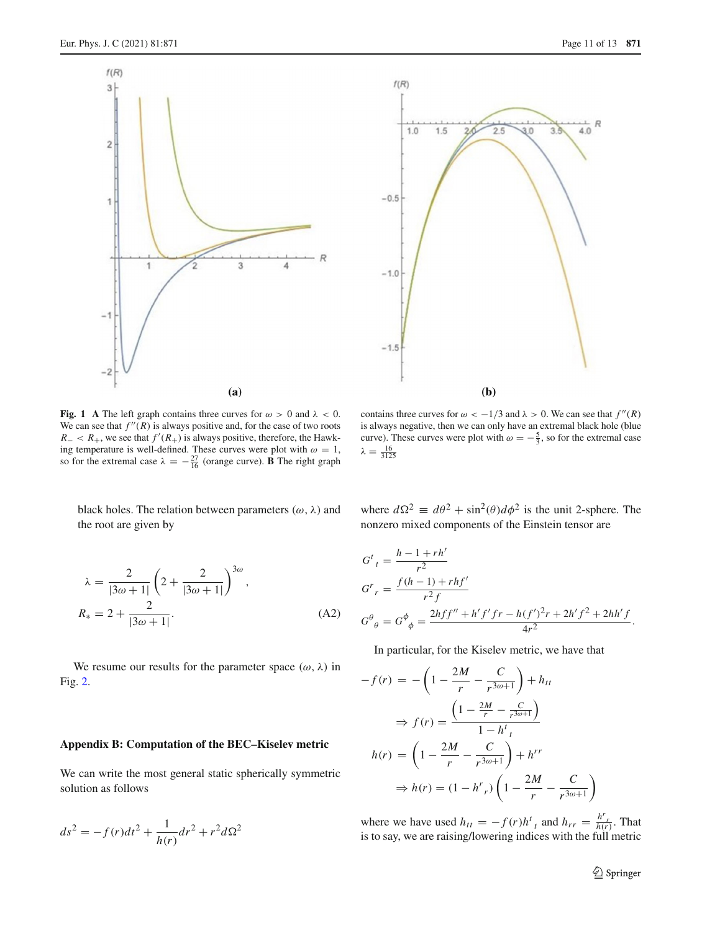



<span id="page-10-0"></span>**Fig. 1** A The left graph contains three curves for  $\omega > 0$  and  $\lambda < 0$ . We can see that  $f''(R)$  is always positive and, for the case of two roots  $R_- < R_+$ , we see that  $f'(R_+)$  is always positive, therefore, the Hawking temperature is well-defined. These curves were plot with  $\omega = 1$ , so for the extremal case  $\lambda = -\frac{27}{16}$  (orange curve). **B** The right graph

contains three curves for  $\omega < -1/3$  and  $\lambda > 0$ . We can see that  $f''(R)$ is always negative, then we can only have an extremal black hole (blue curve). These curves were plot with  $\omega = -\frac{5}{3}$ , so for the extremal case  $\lambda = \frac{16}{3125}$ 

black holes. The relation between parameters  $(\omega, \lambda)$  and the root are given by

where 
$$
d\Omega^2 \equiv d\theta^2 + \sin^2(\theta)d\phi^2
$$
 is the unit 2-sphere. The  
nonzero mixed components of the Einstein tensor are

$$
\lambda = \frac{2}{|3\omega + 1|} \left( 2 + \frac{2}{|3\omega + 1|} \right)^{3\omega},
$$
  

$$
R_* = 2 + \frac{2}{|3\omega + 1|}.
$$
 (A2)

We resume our results for the parameter space  $(\omega, \lambda)$  in Fig. [2.](#page-11-16)

### **Appendix B: Computation of the BEC–Kiselev metric**

We can write the most general static spherically symmetric solution as follows

$$
ds^{2} = -f(r)dt^{2} + \frac{1}{h(r)}dr^{2} + r^{2}d\Omega^{2}
$$

 $G^{t}{}_{t} = \frac{h-1+rh'}{r^{2}}$  $G^{r}$ <sub>r</sub> =  $\frac{f(h-1) + rhf'}{r^{2}f}$  $G^{\theta}{}_{\theta} = G^{\phi}{}_{\phi} = \frac{2hf f'' + h'f'fr - h(f')^2r + 2h'f^2 + 2hh'f^2}{4r^2}$  $\frac{(y - y)^2 + 2k(y - 1)}{4r^2}$ .

In particular, for the Kiselev metric, we have that

$$
-f(r) = -\left(1 - \frac{2M}{r} - \frac{C}{r^{3\omega+1}}\right) + h_{tt}
$$

$$
\Rightarrow f(r) = \frac{\left(1 - \frac{2M}{r} - \frac{C}{r^{3\omega+1}}\right)}{1 - h^t}
$$

$$
h(r) = \left(1 - \frac{2M}{r} - \frac{C}{r^{3\omega+1}}\right) + h^{rr}
$$

$$
\Rightarrow h(r) = (1 - h^r)^r \left(1 - \frac{2M}{r} - \frac{C}{r^{3\omega+1}}\right)
$$

where we have used  $h_{tt} = -f(r)h^t_t$  and  $h_{rr} = \frac{h^r_t}{h(r)}$ . That is to say, we are raising/lowering indices with the full metric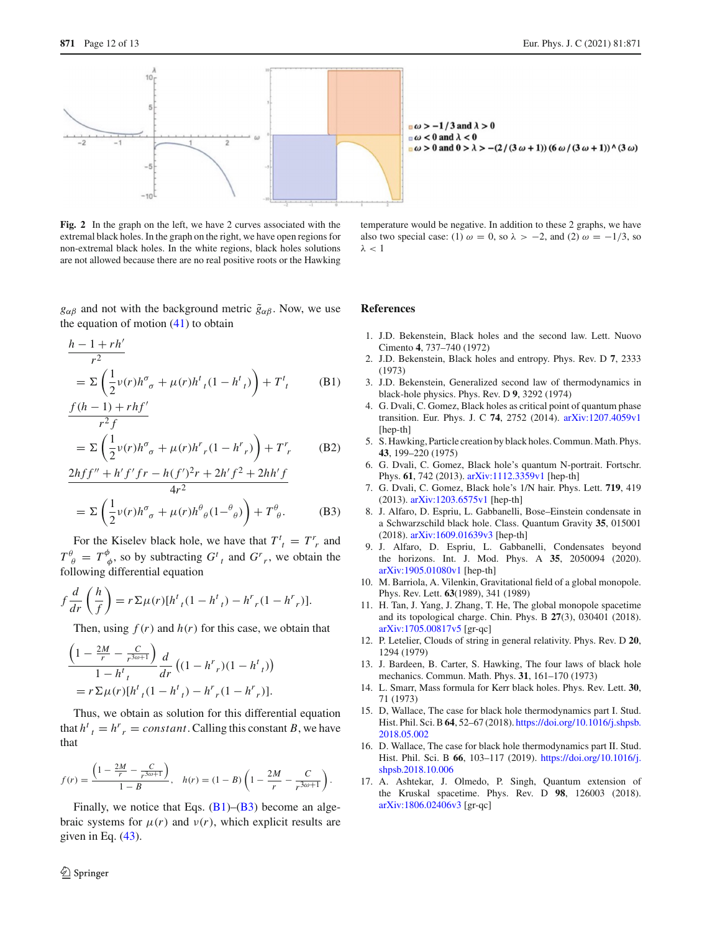

<span id="page-11-16"></span>**Fig. 2** In the graph on the left, we have 2 curves associated with the extremal black holes. In the graph on the right, we have open regions for non-extremal black holes. In the white regions, black holes solutions are not allowed because there are no real positive roots or the Hawking

 $g_{\alpha\beta}$  and not with the background metric  $\tilde{g}_{\alpha\beta}$ . Now, we use the equation of motion  $(41)$  to obtain

$$
\frac{h - 1 + rh'}{r^2}
$$
  
=  $\Sigma \left( \frac{1}{2} v(r) h^{\sigma}{}_{\sigma} + \mu(r) h^t {}_{t} (1 - h^t {}_{t}) \right) + T^t {}_{t}$  (B1)

$$
\frac{f(h-1) + rhf'}{r^2 f}
$$
  
=  $\Sigma \left( \frac{1}{2} v(r) h^{\sigma}{}_{\sigma} + \mu(r) h^r{}_{r}(1 - h^r{}_{r}) \right) + T^r{}_{r}$  (B2)

$$
\frac{2hff'' + h'f'fr - h(f')^{2}r + 2h'f^{2} + 2hh'f}{4r^{2}}
$$
  
=  $\Sigma \left( \frac{1}{2} \nu(r)h^{\sigma}{}_{\sigma} + \mu(r)h^{\theta}{}_{\theta}(1-\theta_{\theta}) \right) + T^{\theta}{}_{\theta}.$  (B3)

For the Kiselev black hole, we have that  $T^t_i = T^r$  and  $T^{\theta}_{\ \theta} = T^{\phi}_{\ \phi}$ , so by subtracting  $G^t_{\ t}$  and  $G^r_{\ r}$ , we obtain the following differential equation

$$
f\frac{d}{dr}\left(\frac{h}{f}\right) = r \sum \mu(r) [h^t_{t}(1 - h^t_{t}) - h^r_{t}(1 - h^r_{t})].
$$

Then, using  $f(r)$  and  $h(r)$  for this case, we obtain that

$$
\frac{\left(1 - \frac{2M}{r} - \frac{C}{r^{3\omega+1}}\right)}{1 - h^t_t} \frac{d}{dr} \left((1 - h^r)_t(1 - h^t)_t\right)
$$
  
=  $r \Sigma \mu(r) [h^t_t(1 - h^t)_t) - h^r_t(1 - h^r)_t].$ 

Thus, we obtain as solution for this differential equation that  $h^t_i = h^r_i = constant$ . Calling this constant *B*, we have that

$$
f(r) = \frac{\left(1 - \frac{2M}{r} - \frac{C}{r^{3\omega + 1}}\right)}{1 - B}, \quad h(r) = (1 - B)\left(1 - \frac{2M}{r} - \frac{C}{r^{3\omega + 1}}\right).
$$

Finally, we notice that Eqs.  $(B1)$ – $(B3)$  become an algebraic systems for  $\mu(r)$  and  $\nu(r)$ , which explicit results are given in Eq.  $(43)$ .

temperature would be negative. In addition to these 2 graphs, we have also two special case: (1)  $\omega = 0$ , so  $\lambda > -2$ , and (2)  $\omega = -1/3$ , so  $λ < 1$ 

#### **References**

- <span id="page-11-0"></span>1. J.D. Bekenstein, Black holes and the second law. Lett. Nuovo Cimento **4**, 737–740 (1972)
- 2. J.D. Bekenstein, Black holes and entropy. Phys. Rev. D **7**, 2333 (1973)
- <span id="page-11-1"></span>3. J.D. Bekenstein, Generalized second law of thermodynamics in black-hole physics. Phys. Rev. D **9**, 3292 (1974)
- <span id="page-11-2"></span>4. G. Dvali, C. Gomez, Black holes as critical point of quantum phase transition. Eur. Phys. J. C **74**, 2752 (2014). [arXiv:1207.4059v1](http://arxiv.org/abs/1207.4059v1) [hep-th]
- <span id="page-11-3"></span>5. S. Hawking, Particle creation by black holes. Commun. Math. Phys. **43**, 199–220 (1975)
- <span id="page-11-4"></span>6. G. Dvali, C. Gomez, Black hole's quantum N-portrait. Fortschr. Phys. **61**, 742 (2013). [arXiv:1112.3359v1](http://arxiv.org/abs/1112.3359v1) [hep-th]
- <span id="page-11-5"></span>7. G. Dvali, C. Gomez, Black hole's 1/N hair. Phys. Lett. **719**, 419 (2013). [arXiv:1203.6575v1](http://arxiv.org/abs/1203.6575v1) [hep-th]
- <span id="page-11-6"></span>8. J. Alfaro, D. Espriu, L. Gabbanelli, Bose–Einstein condensate in a Schwarzschild black hole. Class. Quantum Gravity **35**, 015001 (2018). [arXiv:1609.01639v3](http://arxiv.org/abs/1609.01639v3) [hep-th]
- <span id="page-11-7"></span>9. J. Alfaro, D. Espriu, L. Gabbanelli, Condensates beyond the horizons. Int. J. Mod. Phys. A **35**, 2050094 (2020). [arXiv:1905.01080v1](http://arxiv.org/abs/1905.01080v1) [hep-th]
- <span id="page-11-8"></span>10. M. Barriola, A. Vilenkin, Gravitational field of a global monopole. Phys. Rev. Lett. **63**(1989), 341 (1989)
- <span id="page-11-9"></span>11. H. Tan, J. Yang, J. Zhang, T. He, The global monopole spacetime and its topological charge. Chin. Phys. B **27**(3), 030401 (2018). [arXiv:1705.00817v5](http://arxiv.org/abs/1705.00817v5) [gr-qc]
- <span id="page-11-10"></span>12. P. Letelier, Clouds of string in general relativity. Phys. Rev. D **20**, 1294 (1979)
- <span id="page-11-11"></span>13. J. Bardeen, B. Carter, S. Hawking, The four laws of black hole mechanics. Commun. Math. Phys. **31**, 161–170 (1973)
- <span id="page-11-12"></span>14. L. Smarr, Mass formula for Kerr black holes. Phys. Rev. Lett. **30**, 71 (1973)
- <span id="page-11-13"></span>15. D, Wallace, The case for black hole thermodynamics part I. Stud. Hist. Phil. Sci. B**64**, 52–67 (2018). [https://doi.org/10.1016/j.shpsb.](https://doi.org/10.1016/j.shpsb.2018.05.002) [2018.05.002](https://doi.org/10.1016/j.shpsb.2018.05.002)
- <span id="page-11-14"></span>16. D. Wallace, The case for black hole thermodynamics part II. Stud. Hist. Phil. Sci. B **66**, 103–117 (2019). [https://doi.org/10.1016/j.](https://doi.org/10.1016/j.shpsb.2018.10.006) [shpsb.2018.10.006](https://doi.org/10.1016/j.shpsb.2018.10.006)
- <span id="page-11-15"></span>17. A. Ashtekar, J. Olmedo, P. Singh, Quantum extension of the Kruskal spacetime. Phys. Rev. D **98**, 126003 (2018). [arXiv:1806.02406v3](http://arxiv.org/abs/1806.02406v3) [gr-qc]